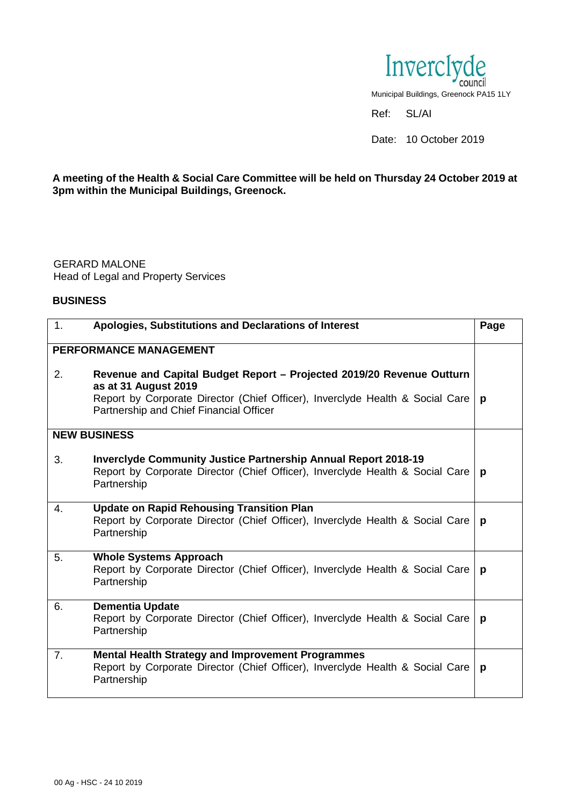

## **A meeting of the Health & Social Care Committee will be held on Thursday 24 October 2019 at 3pm within the Municipal Buildings, Greenock.**

GERARD MALONE Head of Legal and Property Services

## **BUSINESS**

| 1.                  | Apologies, Substitutions and Declarations of Interest                                                                                                                                                                     | Page |
|---------------------|---------------------------------------------------------------------------------------------------------------------------------------------------------------------------------------------------------------------------|------|
|                     | PERFORMANCE MANAGEMENT                                                                                                                                                                                                    |      |
| 2.                  | Revenue and Capital Budget Report - Projected 2019/20 Revenue Outturn<br>as at 31 August 2019<br>Report by Corporate Director (Chief Officer), Inverclyde Health & Social Care<br>Partnership and Chief Financial Officer | p    |
| <b>NEW BUSINESS</b> |                                                                                                                                                                                                                           |      |
| 3.                  | <b>Inverciyde Community Justice Partnership Annual Report 2018-19</b><br>Report by Corporate Director (Chief Officer), Inverclyde Health & Social Care<br>Partnership                                                     | p    |
| $\mathbf{4}$ .      | <b>Update on Rapid Rehousing Transition Plan</b><br>Report by Corporate Director (Chief Officer), Inverclyde Health & Social Care<br>Partnership                                                                          | p    |
| 5.                  | <b>Whole Systems Approach</b><br>Report by Corporate Director (Chief Officer), Inverclyde Health & Social Care<br>Partnership                                                                                             | p    |
| 6.                  | <b>Dementia Update</b><br>Report by Corporate Director (Chief Officer), Inverclyde Health & Social Care<br>Partnership                                                                                                    | p    |
| 7.                  | <b>Mental Health Strategy and Improvement Programmes</b><br>Report by Corporate Director (Chief Officer), Inverclyde Health & Social Care<br>Partnership                                                                  | p    |